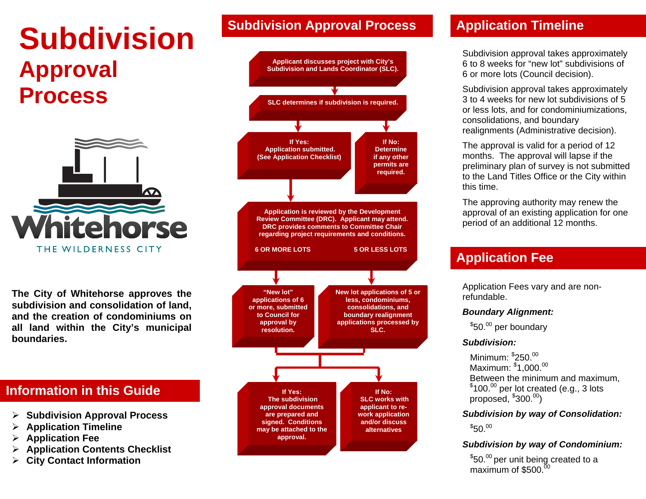## **Subdivision Approval Process**



**The City of Whitehorse approves the subdivision and consolidation of land, and the creation of condominiums on all land within the City's municipal boundaries.** 

## **Information in this Guide**

- ➤ **Subdivision Approval Process**
- ➤ **Application Timeline**
- $\blacktriangleright$ **Application Fee**
- ➤ **Application Contents Checklist**
- ➤ **City Contact Information**

## **Subdivision Approval Process**



## **Application Timeline**

Subdivision approval takes approximately 6 to 8 weeks for "new lot" subdivisions of 6 or more lots (Council decision).

Subdivision approval takes approximately 3 to 4 weeks for new lot subdivisions of 5 or less lots, and for condominiumizations, consolidations, and boundary realignments (Administrative decision).

The approval is valid for a period of 12 months. The approval will lapse if the preliminary plan of survey is not submitted to the Land Titles Office or the City within this time.

The approving authority may renew the approval of an existing application for one period of an additional 12 months.

## **Application Fee**

Application Fees vary and are nonrefundable.

#### *Boundary Alignment:*

 $$50.00$  per boundary

#### *Subdivision:*

Minimum: \$250.00 Maximum: \$1.000.00 Between the minimum and maximum,  $$100.^{00}$  per lot created (e.g., 3 lots proposed,  $$300.00$ 

#### *Subdivision by way of Consolidation:*

 $$50^{00}$ 

#### *Subdivision by way of Condominium:*

 $$50.00$  per unit being created to a maximum of  $$500$ <sup>00</sup>